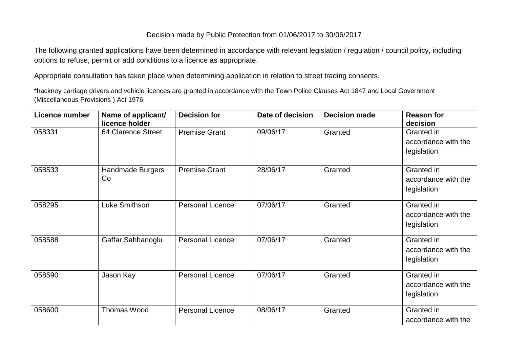## Decision made by Public Protection from 01/06/2017 to 30/06/2017

The following granted applications have been determined in accordance with relevant legislation / regulation / council policy, including options to refuse, permit or add conditions to a licence as appropriate.

Appropriate consultation has taken place when determining application in relation to street trading consents.

\*hackney carriage drivers and vehicle licences are granted in accordance with the Town Police Clauses Act 1847 and Local Government (Miscellaneous Provisions ) Act 1976.

| <b>Licence number</b> | Name of applicant/<br>licence holder | <b>Decision for</b>     | Date of decision | <b>Decision made</b> | <b>Reason for</b><br>decision                    |
|-----------------------|--------------------------------------|-------------------------|------------------|----------------------|--------------------------------------------------|
| 058331                | 64 Clarence Street                   | <b>Premise Grant</b>    | 09/06/17         | Granted              | Granted in<br>accordance with the<br>legislation |
| 058533                | Handmade Burgers<br>Co               | <b>Premise Grant</b>    | 28/06/17         | Granted              | Granted in<br>accordance with the<br>legislation |
| 058295                | Luke Smithson                        | <b>Personal Licence</b> | 07/06/17         | Granted              | Granted in<br>accordance with the<br>legislation |
| 058588                | Gaffar Sahhanoglu                    | <b>Personal Licence</b> | 07/06/17         | Granted              | Granted in<br>accordance with the<br>legislation |
| 058590                | Jason Kay                            | <b>Personal Licence</b> | 07/06/17         | Granted              | Granted in<br>accordance with the<br>legislation |
| 058600                | Thomas Wood                          | <b>Personal Licence</b> | 08/06/17         | Granted              | Granted in<br>accordance with the                |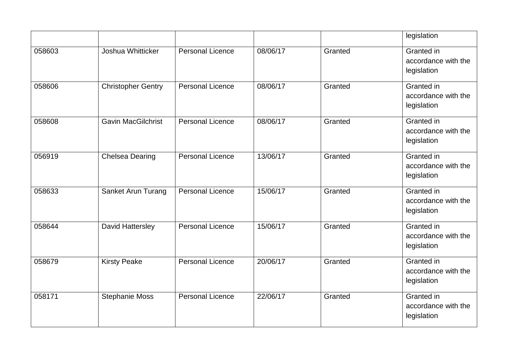|        |                           |                         |          |         | legislation                                      |
|--------|---------------------------|-------------------------|----------|---------|--------------------------------------------------|
| 058603 | Joshua Whitticker         | <b>Personal Licence</b> | 08/06/17 | Granted | Granted in<br>accordance with the<br>legislation |
| 058606 | <b>Christopher Gentry</b> | <b>Personal Licence</b> | 08/06/17 | Granted | Granted in<br>accordance with the<br>legislation |
| 058608 | <b>Gavin MacGilchrist</b> | <b>Personal Licence</b> | 08/06/17 | Granted | Granted in<br>accordance with the<br>legislation |
| 056919 | <b>Chelsea Dearing</b>    | <b>Personal Licence</b> | 13/06/17 | Granted | Granted in<br>accordance with the<br>legislation |
| 058633 | <b>Sanket Arun Turang</b> | <b>Personal Licence</b> | 15/06/17 | Granted | Granted in<br>accordance with the<br>legislation |
| 058644 | David Hattersley          | <b>Personal Licence</b> | 15/06/17 | Granted | Granted in<br>accordance with the<br>legislation |
| 058679 | <b>Kirsty Peake</b>       | <b>Personal Licence</b> | 20/06/17 | Granted | Granted in<br>accordance with the<br>legislation |
| 058171 | <b>Stephanie Moss</b>     | <b>Personal Licence</b> | 22/06/17 | Granted | Granted in<br>accordance with the<br>legislation |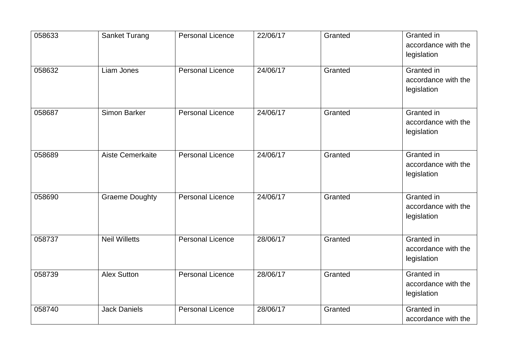| 058633 | <b>Sanket Turang</b>  | <b>Personal Licence</b> | 22/06/17 | Granted | Granted in<br>accordance with the<br>legislation |
|--------|-----------------------|-------------------------|----------|---------|--------------------------------------------------|
| 058632 | Liam Jones            | <b>Personal Licence</b> | 24/06/17 | Granted | Granted in<br>accordance with the<br>legislation |
| 058687 | <b>Simon Barker</b>   | <b>Personal Licence</b> | 24/06/17 | Granted | Granted in<br>accordance with the<br>legislation |
| 058689 | Aiste Cemerkaite      | <b>Personal Licence</b> | 24/06/17 | Granted | Granted in<br>accordance with the<br>legislation |
| 058690 | <b>Graeme Doughty</b> | Personal Licence        | 24/06/17 | Granted | Granted in<br>accordance with the<br>legislation |
| 058737 | <b>Neil Willetts</b>  | <b>Personal Licence</b> | 28/06/17 | Granted | Granted in<br>accordance with the<br>legislation |
| 058739 | <b>Alex Sutton</b>    | <b>Personal Licence</b> | 28/06/17 | Granted | Granted in<br>accordance with the<br>legislation |
| 058740 | <b>Jack Daniels</b>   | <b>Personal Licence</b> | 28/06/17 | Granted | Granted in<br>accordance with the                |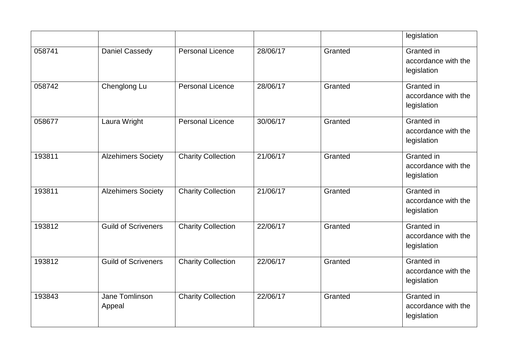|        |                            |                           |          |         | legislation                                      |
|--------|----------------------------|---------------------------|----------|---------|--------------------------------------------------|
| 058741 | Daniel Cassedy             | <b>Personal Licence</b>   | 28/06/17 | Granted | Granted in<br>accordance with the<br>legislation |
| 058742 | Chenglong Lu               | <b>Personal Licence</b>   | 28/06/17 | Granted | Granted in<br>accordance with the<br>legislation |
| 058677 | Laura Wright               | <b>Personal Licence</b>   | 30/06/17 | Granted | Granted in<br>accordance with the<br>legislation |
| 193811 | <b>Alzehimers Society</b>  | <b>Charity Collection</b> | 21/06/17 | Granted | Granted in<br>accordance with the<br>legislation |
| 193811 | <b>Alzehimers Society</b>  | <b>Charity Collection</b> | 21/06/17 | Granted | Granted in<br>accordance with the<br>legislation |
| 193812 | <b>Guild of Scriveners</b> | <b>Charity Collection</b> | 22/06/17 | Granted | Granted in<br>accordance with the<br>legislation |
| 193812 | <b>Guild of Scriveners</b> | <b>Charity Collection</b> | 22/06/17 | Granted | Granted in<br>accordance with the<br>legislation |
| 193843 | Jane Tomlinson<br>Appeal   | <b>Charity Collection</b> | 22/06/17 | Granted | Granted in<br>accordance with the<br>legislation |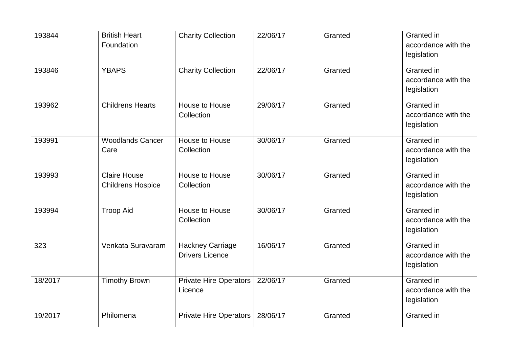| 193844  | <b>British Heart</b><br>Foundation              | <b>Charity Collection</b>                         | 22/06/17 | Granted | Granted in<br>accordance with the<br>legislation        |
|---------|-------------------------------------------------|---------------------------------------------------|----------|---------|---------------------------------------------------------|
| 193846  | <b>YBAPS</b>                                    | <b>Charity Collection</b>                         | 22/06/17 | Granted | Granted in<br>accordance with the<br>legislation        |
| 193962  | <b>Childrens Hearts</b>                         | House to House<br>Collection                      | 29/06/17 | Granted | <b>Granted</b> in<br>accordance with the<br>legislation |
| 193991  | <b>Woodlands Cancer</b><br>Care                 | <b>House to House</b><br>Collection               | 30/06/17 | Granted | Granted in<br>accordance with the<br>legislation        |
| 193993  | <b>Claire House</b><br><b>Childrens Hospice</b> | House to House<br>Collection                      | 30/06/17 | Granted | Granted in<br>accordance with the<br>legislation        |
| 193994  | <b>Troop Aid</b>                                | <b>House to House</b><br>Collection               | 30/06/17 | Granted | <b>Granted</b> in<br>accordance with the<br>legislation |
| 323     | Venkata Suravaram                               | <b>Hackney Carriage</b><br><b>Drivers Licence</b> | 16/06/17 | Granted | <b>Granted</b> in<br>accordance with the<br>legislation |
| 18/2017 | <b>Timothy Brown</b>                            | <b>Private Hire Operators</b><br>Licence          | 22/06/17 | Granted | Granted in<br>accordance with the<br>legislation        |
| 19/2017 | Philomena                                       | <b>Private Hire Operators</b>                     | 28/06/17 | Granted | Granted in                                              |